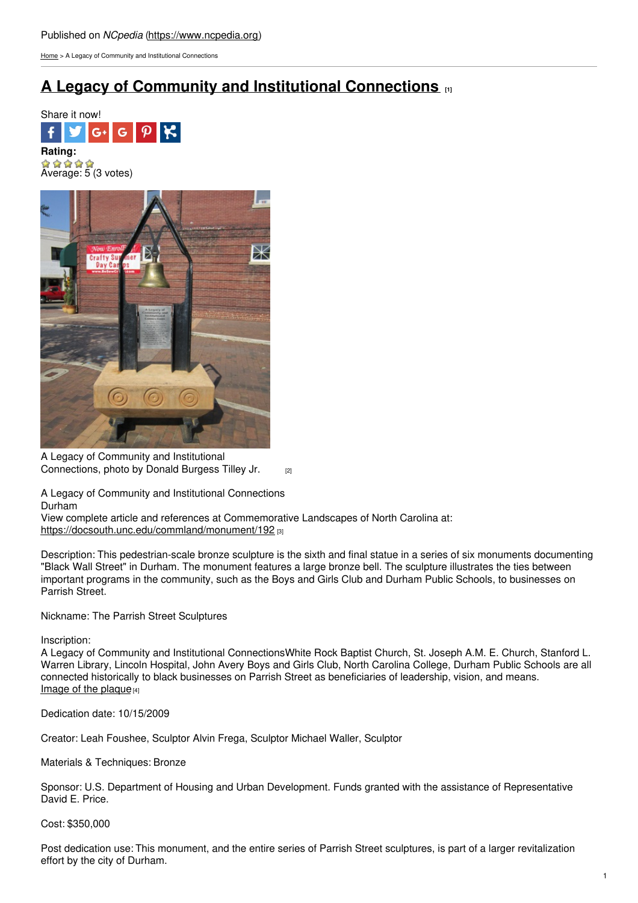[Home](https://www.ncpedia.org/) > A Legacy of Community and Institutional Connections

## **A Legacy of Community and Institutional [Connections](https://www.ncpedia.org/monument/legacy-community-and) [1]**





A Legacy of Community and Institutional [Connections,](https://docsouth.unc.edu/static/commland/monument/192_rep.jpg) photo by Donald Burgess Tilley Jr. [2]

A Legacy of Community and Institutional Connections Durham

View complete article and references at Commemorative Landscapes of North Carolina at: <https://docsouth.unc.edu/commland/monument/192> [3]

Description: This pedestrian-scale bronze sculpture is the sixth and final statue in a series of six monuments documenting "Black Wall Street" in Durham. The monument features a large bronze bell. The sculpture illustrates the ties between important programs in the community, such as the Boys and Girls Club and Durham Public Schools, to businesses on Parrish Street.

Nickname: The Parrish Street Sculptures

Inscription:

A Legacy of Community and Institutional ConnectionsWhite Rock Baptist Church, St. Joseph A.M. E. Church, Stanford L. Warren Library, Lincoln Hospital, John Avery Boys and Girls Club, North Carolina College, Durham Public Schools are all connected historically to black businesses on Parrish Street as beneficiaries of leadership, vision, and means. Image of the [plaque](https://docsouth.unc.edu/static/commland/monument/192_inscription.jpg) $[4]$ 

Dedication date: 10/15/2009

Creator: Leah Foushee, Sculptor Alvin Frega, Sculptor Michael Waller, Sculptor

Materials & Techniques: Bronze

Sponsor: U.S. Department of Housing and Urban Development. Funds granted with the assistance of Representative David E. Price.

Cost: \$350,000

Post dedication use: This monument, and the entire series of Parrish Street sculptures, is part of a larger revitalization effort by the city of Durham.